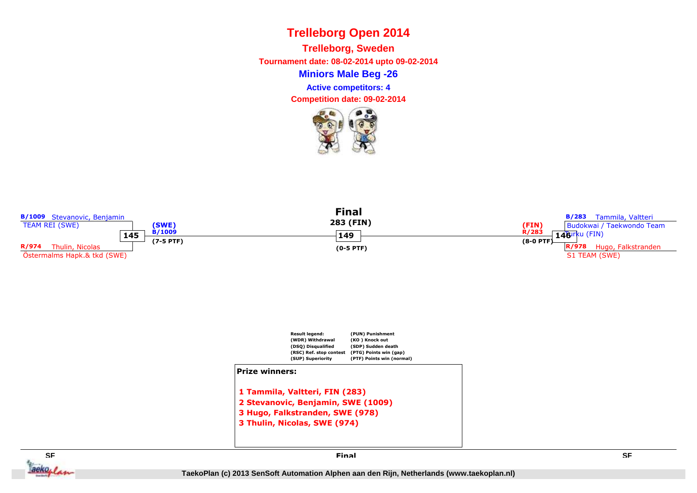**Miniors Male Beg -26Trelleborg, Sweden Tournament date: 08-02-2014 upto 09-02-2014Competition date: 09-02-2014 Active competitors: 4**





**3 Thulin, Nicolas, SWE (974)**

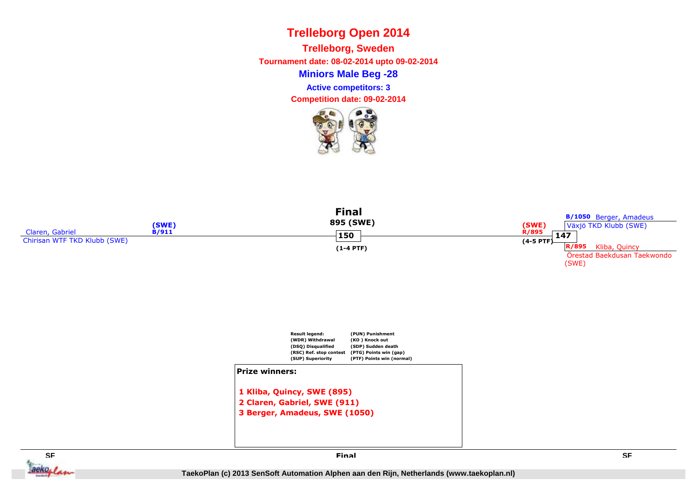**Miniors Male Beg -28Trelleborg, Sweden Tournament date: 08-02-2014 upto 09-02-2014Active competitors: 3**

**Competition date: 09-02-2014**









**Final**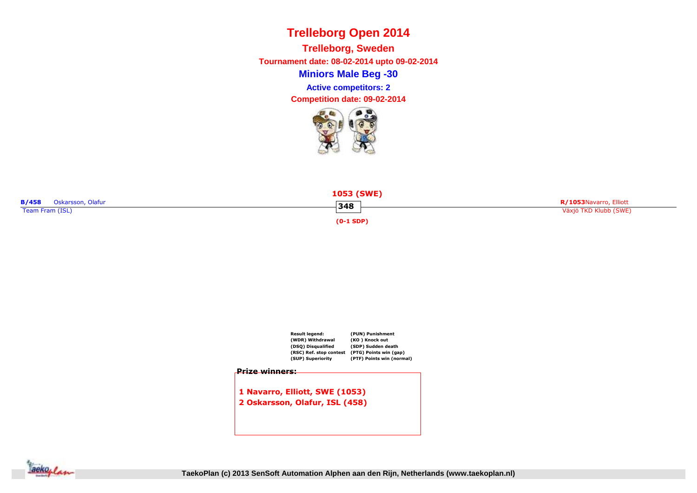**Miniors Male Beg -30Trelleborg, Sweden Tournament date: 08-02-2014 upto 09-02-2014Competition date: 09-02-2014 Active competitors: 2**







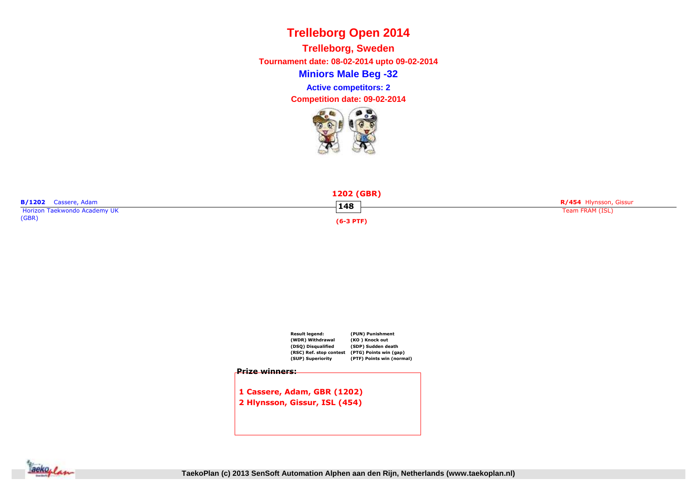**Miniors Male Beg -32Trelleborg, Sweden Tournament date: 08-02-2014 upto 09-02-2014Competition date: 09-02-2014 Active competitors: 2**







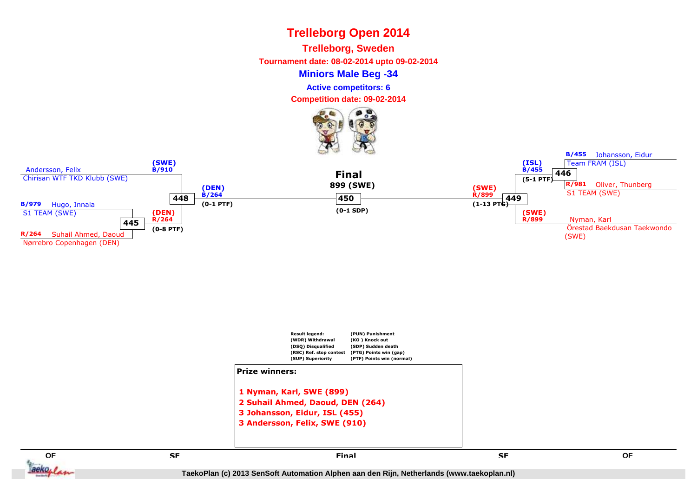**Trelleborg, Sweden**

**Tournament date: 08-02-2014 upto 09-02-2014**

#### **Miniors Male Beg -34**

**Active competitors: 6**

**Competition date: 09-02-2014**







**E** SE SE SE SE SE SERVICE EN L'ALGENCIA EN L'ALGENCIA EN L'ALGENCIA EN L'ALGENCIA EN L'ALGENCIA EN L'ALGENCIA<br>En la comparación de la comparación de la comparación de la comparación de la comparación de la comparación de

**QF**

 $aeko_1$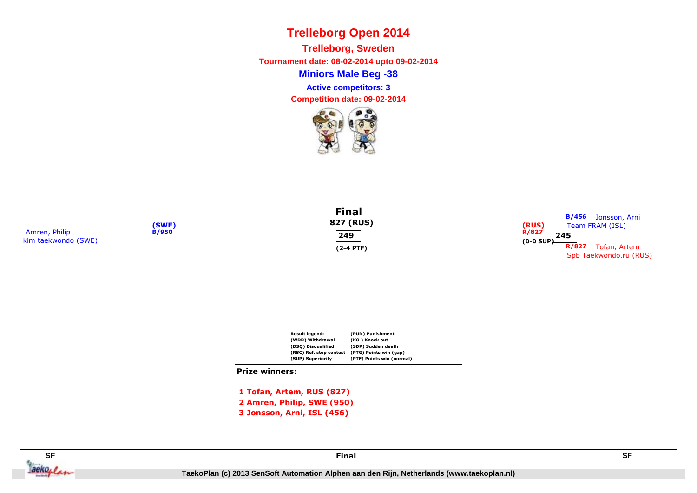**Miniors Male Beg -38Trelleborg, Sweden Tournament date: 08-02-2014 upto 09-02-2014Active competitors: 3**

**Competition date: 09-02-2014**









**Final**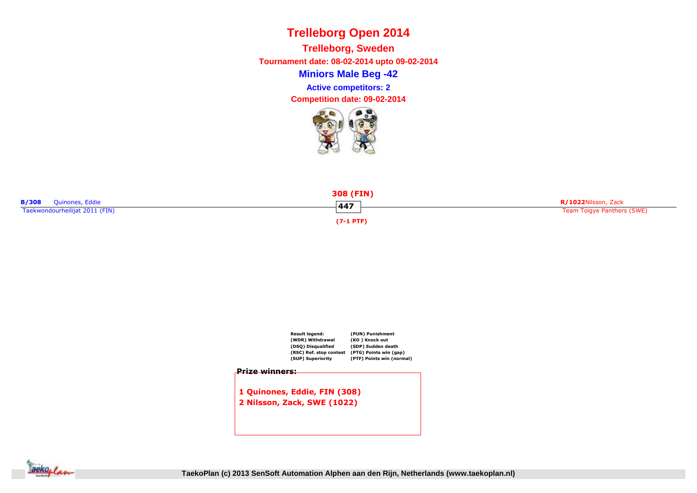**Miniors Male Beg -42Trelleborg, Sweden Tournament date: 08-02-2014 upto 09-02-2014Competition date: 09-02-2014 Active competitors: 2**







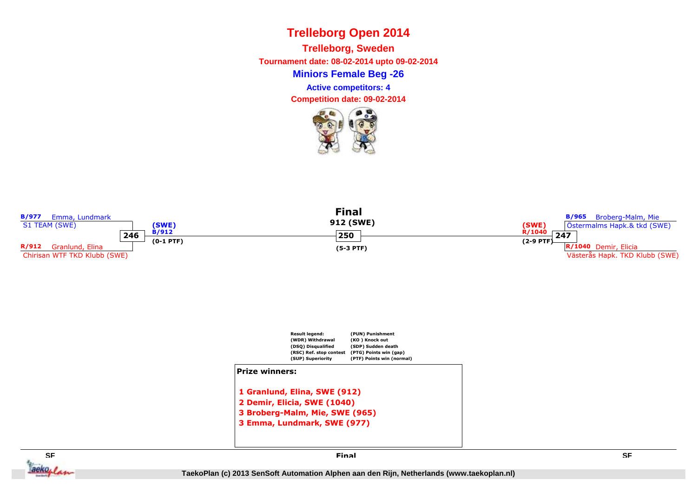**Miniors Female Beg -26Trelleborg, Sweden Tournament date: 08-02-2014 upto 09-02-2014Competition date: 09-02-2014 Active competitors: 4**





**SF SF** ackolan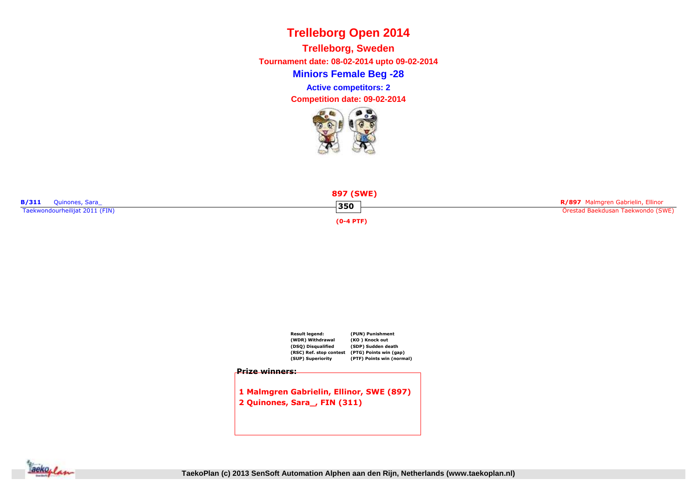**Miniors Female Beg -28Trelleborg, Sweden Tournament date: 08-02-2014 upto 09-02-2014Competition date: 09-02-2014 Active competitors: 2**







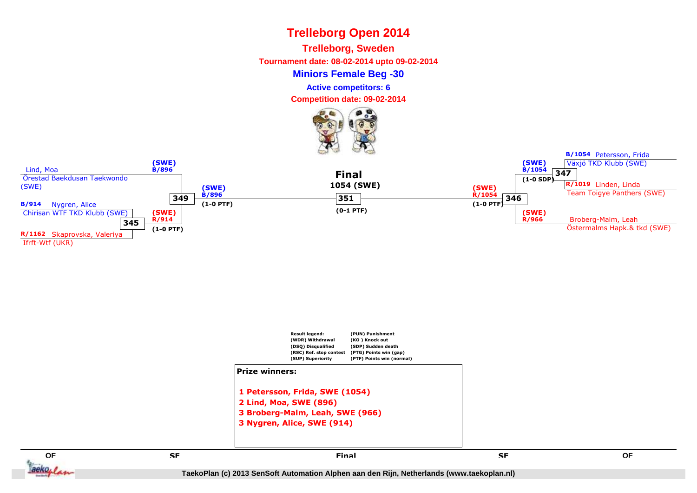**Trelleborg, Sweden**

**Tournament date: 08-02-2014 upto 09-02-2014**

**Miniors Female Beg -30**

**Active competitors: 6**

**Competition date: 09-02-2014**







**(PUN) Punishment**

**3 Nygren, Alice, SWE (914)**

**Result legend:**

**QFE** SE SE SE SE SE SERVICE EN L'ALGENCIA EN L'ALGENCIA EN L'ALGENCIA EN L'ALGENCIA EN L'ALGENCIA EN L'ALGENCIA<br>En la comparación de la comparación de la comparación de la comparación de la comparación de la comparación de  $aeko_t$ 

 **SF Final**

**B/1054** Petersson, Frida

**TaekoPlan (c) 2013 SenSoft Automation Alphen aan den Rijn, Netherlands (www.taekoplan.nl)**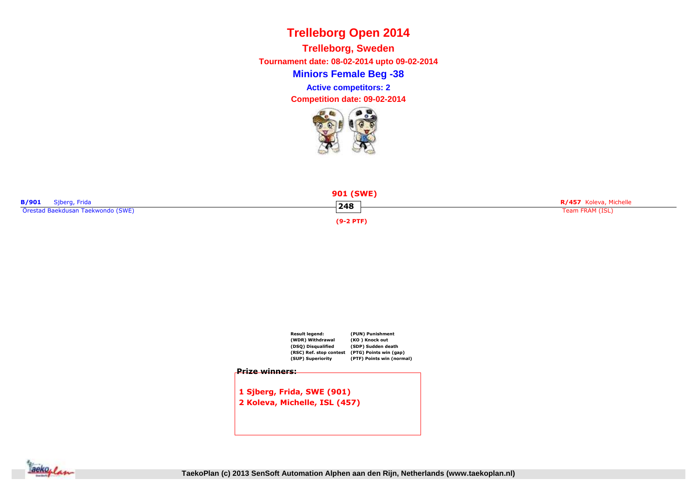**Miniors Female Beg -38Trelleborg, Sweden Tournament date: 08-02-2014 upto 09-02-2014Competition date: 09-02-2014 Active competitors: 2**







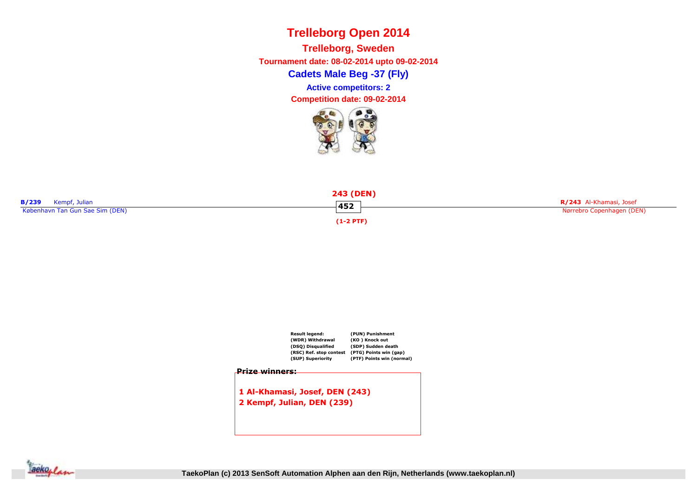**Cadets Male Beg -37 (Fly)Trelleborg, Sweden Tournament date: 08-02-2014 upto 09-02-2014Competition date: 09-02-2014 Active competitors: 2**







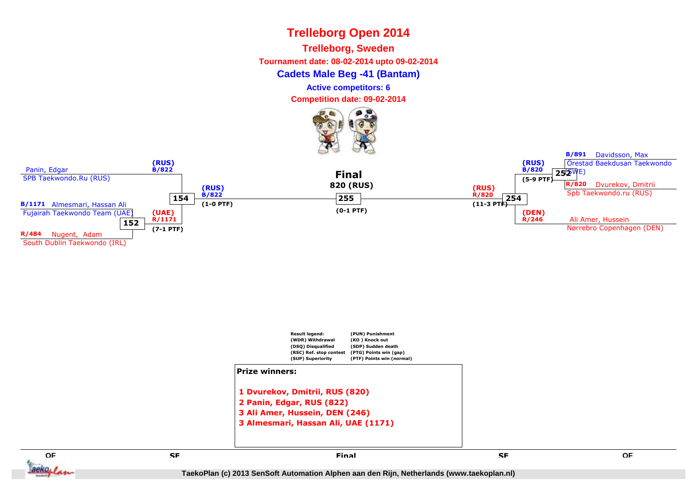**Trelleborg, Sweden**

**Tournament date: 08-02-2014 upto 09-02-2014**

#### **Cadets Male Beg -41 (Bantam)**

**Active competitors: 6**

**Competition date: 09-02-2014**







**E** SE SE SE SE SE SERVICE EN L'ALGENCIA EN L'ALGENCIA EN L'ALGENCIA EN L'ALGENCIA EN L'ALGENCIA EN L'ALGENCIA<br>En la comparación de la comparación de la comparación de la comparación de la comparación de la comparación de

**QF**

aeko, I

 **SF Final**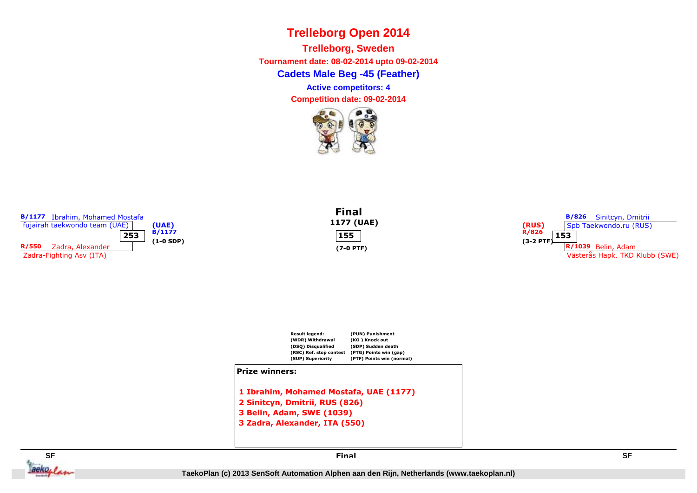**Cadets Male Beg -45 (Feather)Trelleborg, SwedenTournament date: 08-02-2014 upto 09-02-2014**

**Active competitors: 4**

**Competition date: 09-02-2014**



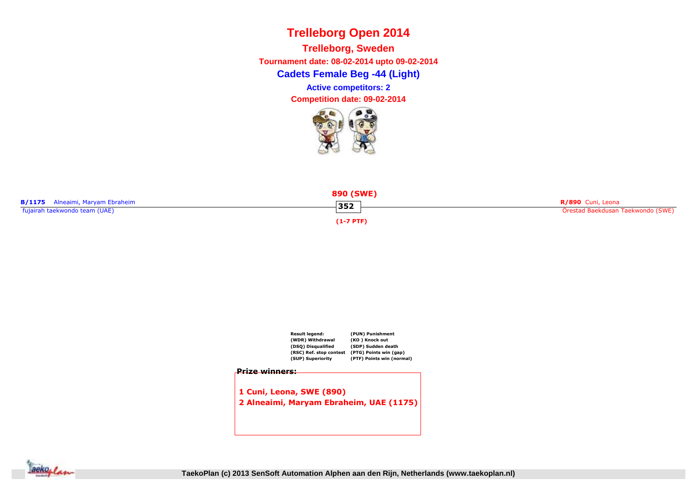**Cadets Female Beg -44 (Light)Trelleborg, Sweden Tournament date: 08-02-2014 upto 09-02-2014Active competitors: 2**

**Competition date: 09-02-2014**







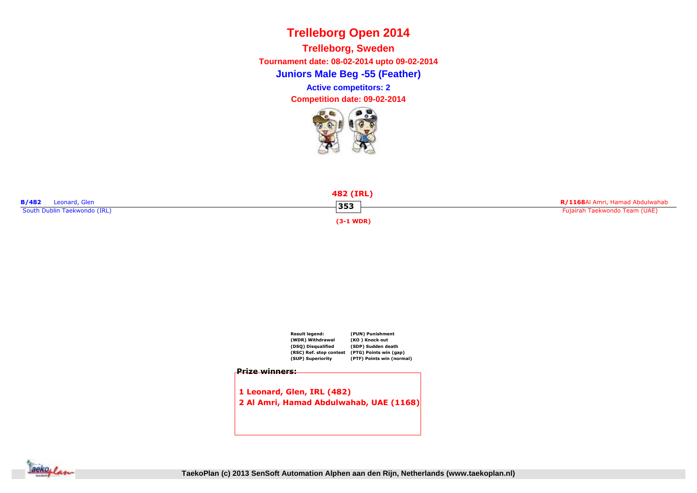**Juniors Male Beg -55 (Feather)Trelleborg, Sweden Tournament date: 08-02-2014 upto 09-02-2014Competition date: 09-02-2014 Active competitors: 2**







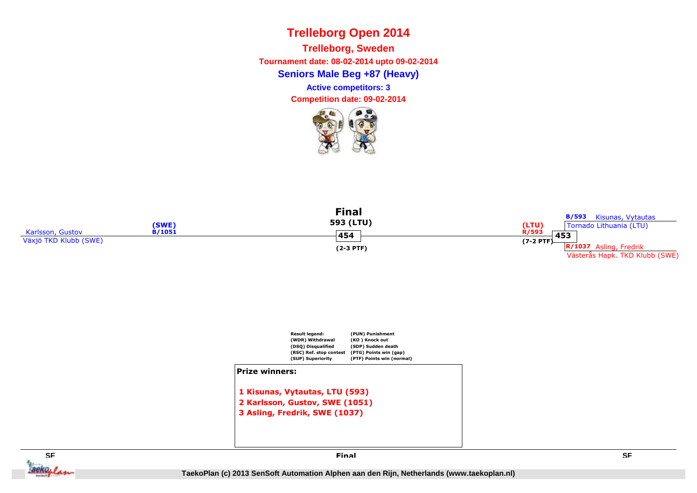**Seniors Male Beg +87 (Heavy)Trelleborg, SwedenTournament date: 08-02-2014 upto 09-02-2014**

**Active competitors: 3**

**Competition date: 09-02-2014**









**Final**